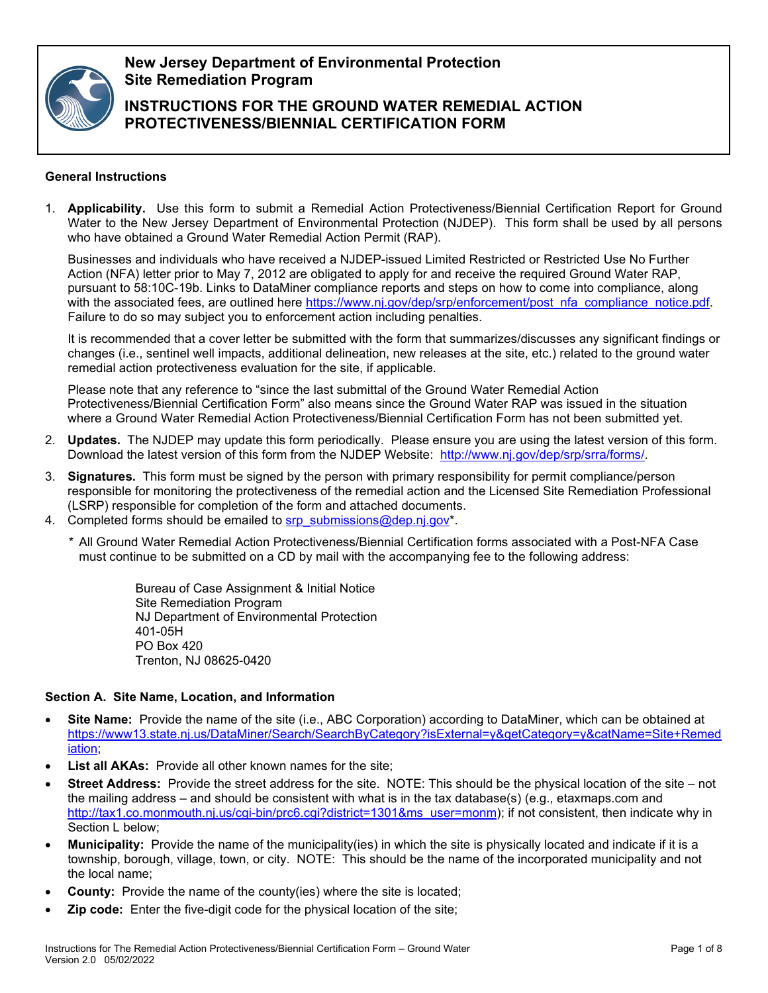

**New Jersey Department of Environmental Protection Site Remediation Program**

**INSTRUCTIONS FOR THE GROUND WATER REMEDIAL ACTION PROTECTIVENESS/BIENNIAL CERTIFICATION FORM**

# **General Instructions**

1. **Applicability.** Use this form to submit a Remedial Action Protectiveness/Biennial Certification Report for Ground Water to the New Jersey Department of Environmental Protection (NJDEP). This form shall be used by all persons who have obtained a Ground Water Remedial Action Permit (RAP).

Businesses and individuals who have received a NJDEP-issued Limited Restricted or Restricted Use No Further Action (NFA) letter prior to May 7, 2012 are obligated to apply for and receive the required Ground Water RAP, pursuant to 58:10C-19b. Links to DataMiner compliance reports and steps on how to come into compliance, along with the associated fees, are outlined here [https://www.nj.gov/dep/srp/enforcement/post\\_nfa\\_compliance\\_notice.pdf.](https://www.nj.gov/dep/srp/enforcement/post_nfa_compliance_notice.pdf) Failure to do so may subject you to enforcement action including penalties.

It is recommended that a cover letter be submitted with the form that summarizes/discusses any significant findings or changes (i.e., sentinel well impacts, additional delineation, new releases at the site, etc.) related to the ground water remedial action protectiveness evaluation for the site, if applicable.

Please note that any reference to "since the last submittal of the Ground Water Remedial Action Protectiveness/Biennial Certification Form" also means since the Ground Water RAP was issued in the situation where a Ground Water Remedial Action Protectiveness/Biennial Certification Form has not been submitted yet.

- 2. **Updates.** The NJDEP may update this form periodically. Please ensure you are using the latest version of this form. Download the latest version of this form from the NJDEP Website: [http://www.nj.gov/dep/srp/srra/forms/.](http://www.nj.gov/dep/srp/srra/forms/)
- 3. **Signatures.** This form must be signed by the person with primary responsibility for permit compliance/person responsible for monitoring the protectiveness of the remedial action and the Licensed Site Remediation Professional (LSRP) responsible for completion of the form and attached documents.
- 4. Completed forms should be emailed to [srp\\_submissions@dep.nj.gov\\*](mailto:srp_submissions@dep.nj.gov).
	- *\** All Ground Water Remedial Action Protectiveness/Biennial Certification forms associated with a Post-NFA Case must continue to be submitted on a CD by mail with the accompanying fee to the following address:

Bureau of Case Assignment & Initial Notice Site Remediation Program NJ Department of Environmental Protection 401-05H PO Box 420 Trenton, NJ 08625-0420

# **Section A. Site Name, Location, and Information**

- **Site Name:** Provide the name of the site (i.e., ABC Corporation) according to DataMiner, which can be obtained at [https://www13.state.nj.us/DataMiner/Search/SearchByCategory?isExternal=y&getCategory=y&catName=Site+Remed](https://www13.state.nj.us/DataMiner/Search/SearchByCategory?isExternal=y&getCategory=y&catName=Site+Remediation) [iation;](https://www13.state.nj.us/DataMiner/Search/SearchByCategory?isExternal=y&getCategory=y&catName=Site+Remediation)
- **List all AKAs:** Provide all other known names for the site:
- **Street Address:** Provide the street address for the site. NOTE: This should be the physical location of the site not the mailing address – and should be consistent with what is in the tax database(s) (e.g., etaxmaps.com and [http://tax1.co.monmouth.nj.us/cgi-bin/prc6.cgi?district=1301&ms\\_user=monm\)](http://tax1.co.monmouth.nj.us/cgi-bin/prc6.cgi?district=1301&ms_user=monm); if not consistent, then indicate why in Section L below;
- **Municipality:** Provide the name of the municipality(ies) in which the site is physically located and indicate if it is a township, borough, village, town, or city. NOTE: This should be the name of the incorporated municipality and not the local name;
- **County:** Provide the name of the county(ies) where the site is located;
- **Zip code:** Enter the five-digit code for the physical location of the site;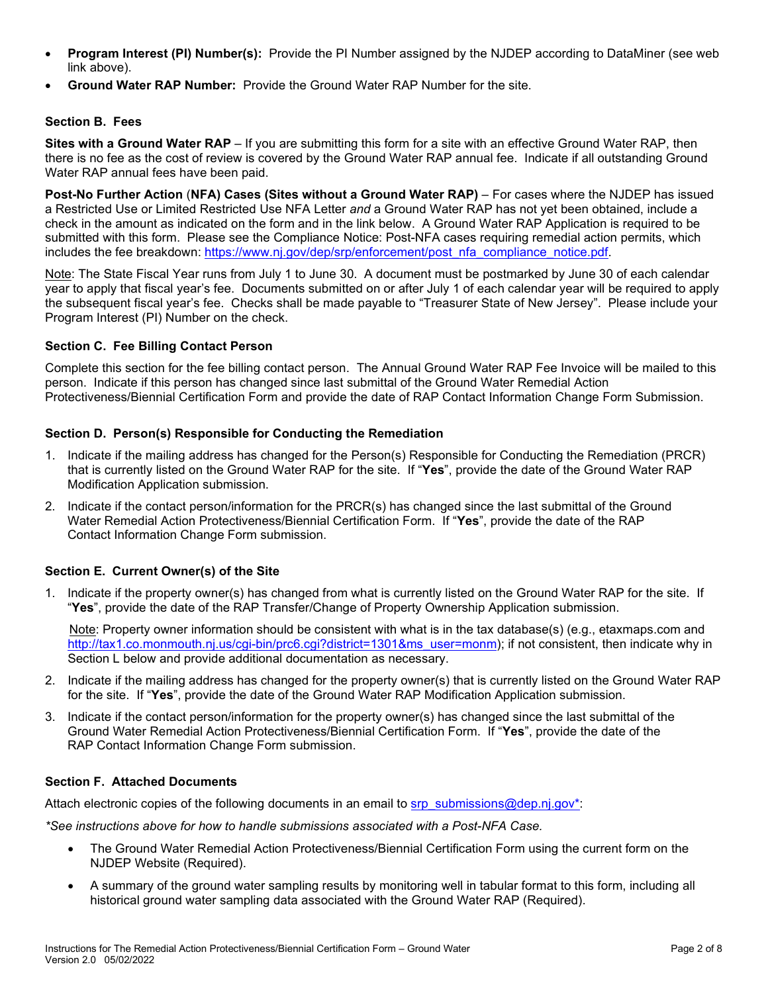- **Program Interest (PI) Number(s):** Provide the PI Number assigned by the NJDEP according to DataMiner (see web link above).
- **Ground Water RAP Number:** Provide the Ground Water RAP Number for the site.

#### **Section B. Fees**

**Sites with a Ground Water RAP** – If you are submitting this form for a site with an effective Ground Water RAP, then there is no fee as the cost of review is covered by the Ground Water RAP annual fee. Indicate if all outstanding Ground Water RAP annual fees have been paid.

**Post-No Further Action** (**NFA) Cases (Sites without a Ground Water RAP)** – For cases where the NJDEP has issued a Restricted Use or Limited Restricted Use NFA Letter *and* a Ground Water RAP has not yet been obtained, include a check in the amount as indicated on the form and in the link below. A Ground Water RAP Application is required to be submitted with this form. Please see the Compliance Notice: Post-NFA cases requiring remedial action permits, which includes the fee breakdown: [https://www.nj.gov/dep/srp/enforcement/post\\_nfa\\_compliance\\_notice.pdf.](https://www.nj.gov/dep/srp/enforcement/post_nfa_compliance_notice.pdf)

Note: The State Fiscal Year runs from July 1 to June 30. A document must be postmarked by June 30 of each calendar year to apply that fiscal year's fee. Documents submitted on or after July 1 of each calendar year will be required to apply the subsequent fiscal year's fee. Checks shall be made payable to "Treasurer State of New Jersey". Please include your Program Interest (PI) Number on the check.

#### **Section C. Fee Billing Contact Person**

Complete this section for the fee billing contact person. The Annual Ground Water RAP Fee Invoice will be mailed to this person. Indicate if this person has changed since last submittal of the Ground Water Remedial Action Protectiveness/Biennial Certification Form and provide the date of RAP Contact Information Change Form Submission.

#### **Section D. Person(s) Responsible for Conducting the Remediation**

- 1. Indicate if the mailing address has changed for the Person(s) Responsible for Conducting the Remediation (PRCR) that is currently listed on the Ground Water RAP for the site. If "**Yes**", provide the date of the Ground Water RAP Modification Application submission.
- 2. Indicate if the contact person/information for the PRCR(s) has changed since the last submittal of the Ground Water Remedial Action Protectiveness/Biennial Certification Form. If "**Yes**", provide the date of the RAP Contact Information Change Form submission.

# **Section E. Current Owner(s) of the Site**

1. Indicate if the property owner(s) has changed from what is currently listed on the Ground Water RAP for the site. If "**Yes**", provide the date of the RAP Transfer/Change of Property Ownership Application submission.

 Note: Property owner information should be consistent with what is in the tax database(s) (e.g., etaxmaps.com and [http://tax1.co.monmouth.nj.us/cgi-bin/prc6.cgi?district=1301&ms\\_user=monm\)](http://tax1.co.monmouth.nj.us/cgi-bin/prc6.cgi?district=1301&ms_user=monm); if not consistent, then indicate why in Section L below and provide additional documentation as necessary.

- 2. Indicate if the mailing address has changed for the property owner(s) that is currently listed on the Ground Water RAP for the site. If "**Yes**", provide the date of the Ground Water RAP Modification Application submission.
- 3. Indicate if the contact person/information for the property owner(s) has changed since the last submittal of the Ground Water Remedial Action Protectiveness/Biennial Certification Form. If "**Yes**", provide the date of the RAP Contact Information Change Form submission.

#### **Section F. Attached Documents**

Attach electronic copies of the following documents in an email to [srp\\_submissions@dep.nj.gov\\*:](mailto:srp_submissions@dep.nj.gov*)

*\*See instructions above for how to handle submissions associated with a Post-NFA Case.*

- The Ground Water Remedial Action Protectiveness/Biennial Certification Form using the current form on the NJDEP Website (Required).
- A summary of the ground water sampling results by monitoring well in tabular format to this form, including all historical ground water sampling data associated with the Ground Water RAP (Required).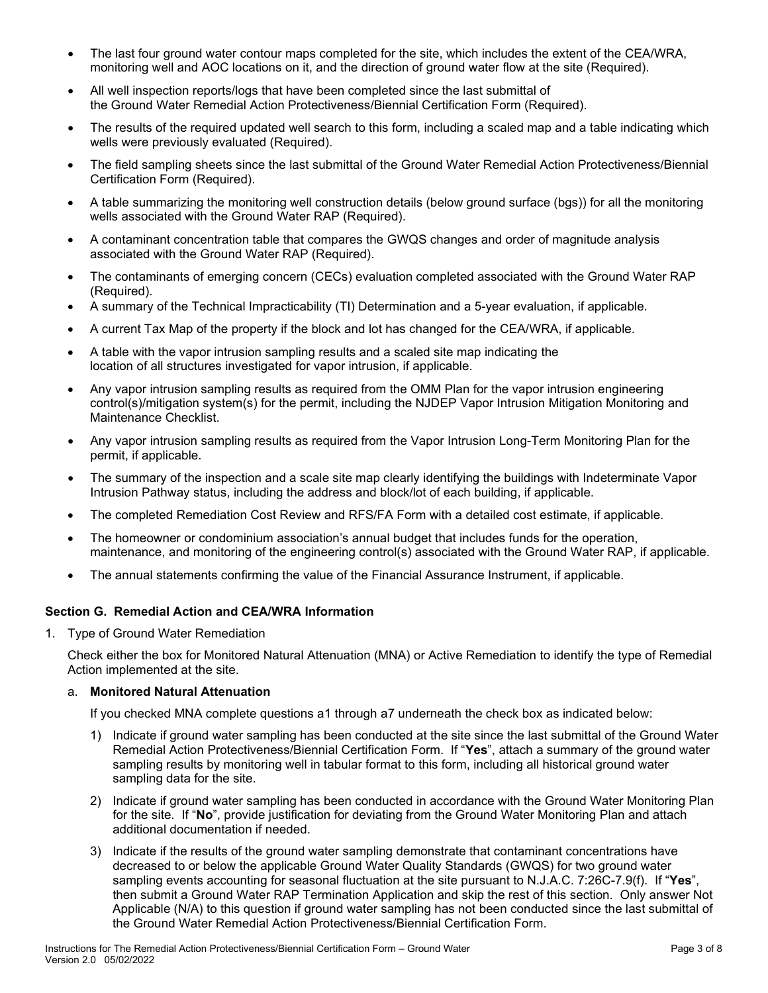- The last four ground water contour maps completed for the site, which includes the extent of the CEA/WRA, monitoring well and AOC locations on it, and the direction of ground water flow at the site (Required).
- All well inspection reports/logs that have been completed since the last submittal of the Ground Water Remedial Action Protectiveness/Biennial Certification Form (Required).
- The results of the required updated well search to this form, including a scaled map and a table indicating which wells were previously evaluated (Required).
- The field sampling sheets since the last submittal of the Ground Water Remedial Action Protectiveness/Biennial Certification Form (Required).
- A table summarizing the monitoring well construction details (below ground surface (bgs)) for all the monitoring wells associated with the Ground Water RAP (Required).
- A contaminant concentration table that compares the GWQS changes and order of magnitude analysis associated with the Ground Water RAP (Required).
- The contaminants of emerging concern (CECs) evaluation completed associated with the Ground Water RAP (Required).
- A summary of the Technical Impracticability (TI) Determination and a 5-year evaluation, if applicable.
- A current Tax Map of the property if the block and lot has changed for the CEA/WRA, if applicable.
- A table with the vapor intrusion sampling results and a scaled site map indicating the location of all structures investigated for vapor intrusion, if applicable.
- Any vapor intrusion sampling results as required from the OMM Plan for the vapor intrusion engineering control(s)/mitigation system(s) for the permit, including the NJDEP Vapor Intrusion Mitigation Monitoring and Maintenance Checklist.
- Any vapor intrusion sampling results as required from the Vapor Intrusion Long-Term Monitoring Plan for the permit, if applicable.
- The summary of the inspection and a scale site map clearly identifying the buildings with Indeterminate Vapor Intrusion Pathway status, including the address and block/lot of each building, if applicable.
- The completed Remediation Cost Review and RFS/FA Form with a detailed cost estimate, if applicable.
- The homeowner or condominium association's annual budget that includes funds for the operation, maintenance, and monitoring of the engineering control(s) associated with the Ground Water RAP, if applicable.
- The annual statements confirming the value of the Financial Assurance Instrument, if applicable.

# **Section G. Remedial Action and CEA/WRA Information**

1. Type of Ground Water Remediation

Check either the box for Monitored Natural Attenuation (MNA) or Active Remediation to identify the type of Remedial Action implemented at the site.

# a. **Monitored Natural Attenuation**

If you checked MNA complete questions a1 through a7 underneath the check box as indicated below:

- 1) Indicate if ground water sampling has been conducted at the site since the last submittal of the Ground Water Remedial Action Protectiveness/Biennial Certification Form. If "**Yes**", attach a summary of the ground water sampling results by monitoring well in tabular format to this form, including all historical ground water sampling data for the site.
- 2) Indicate if ground water sampling has been conducted in accordance with the Ground Water Monitoring Plan for the site. If "**No**", provide justification for deviating from the Ground Water Monitoring Plan and attach additional documentation if needed.
- 3) Indicate if the results of the ground water sampling demonstrate that contaminant concentrations have decreased to or below the applicable Ground Water Quality Standards (GWQS) for two ground water sampling events accounting for seasonal fluctuation at the site pursuant to N.J.A.C. 7:26C-7.9(f). If "**Yes**", then submit a Ground Water RAP Termination Application and skip the rest of this section. Only answer Not Applicable (N/A) to this question if ground water sampling has not been conducted since the last submittal of the Ground Water Remedial Action Protectiveness/Biennial Certification Form.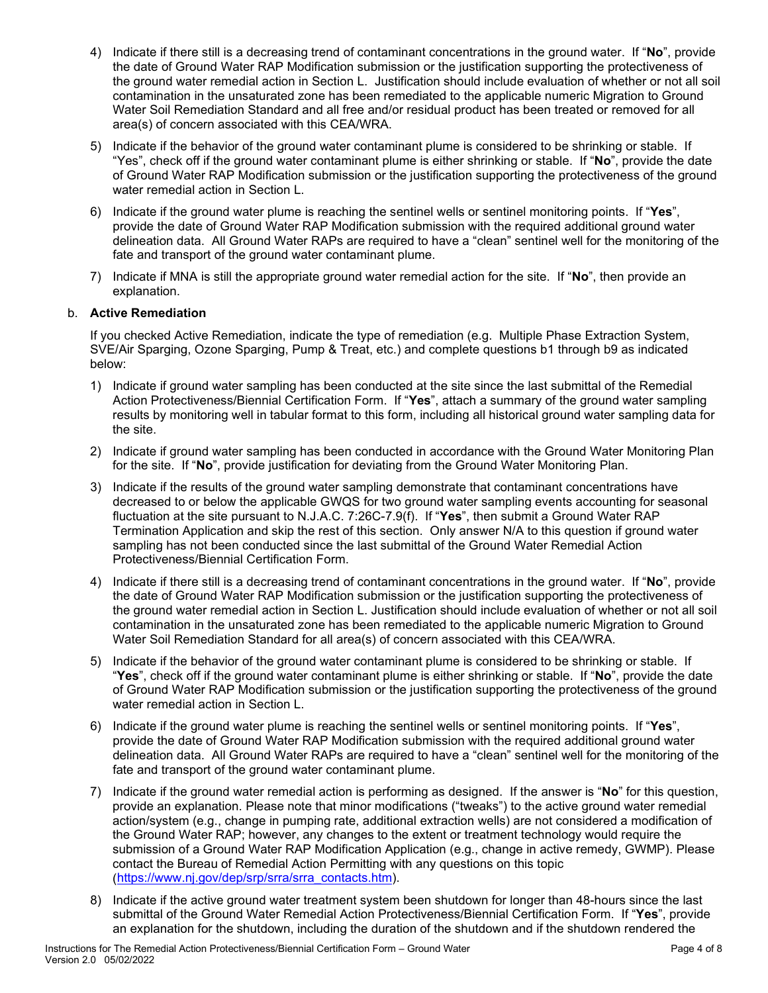- 4) Indicate if there still is a decreasing trend of contaminant concentrations in the ground water. If "**No**", provide the date of Ground Water RAP Modification submission or the justification supporting the protectiveness of the ground water remedial action in Section L. Justification should include evaluation of whether or not all soil contamination in the unsaturated zone has been remediated to the applicable numeric Migration to Ground Water Soil Remediation Standard and all free and/or residual product has been treated or removed for all area(s) of concern associated with this CEA/WRA.
- 5) Indicate if the behavior of the ground water contaminant plume is considered to be shrinking or stable. If "Yes", check off if the ground water contaminant plume is either shrinking or stable. If "**No**", provide the date of Ground Water RAP Modification submission or the justification supporting the protectiveness of the ground water remedial action in Section L.
- 6) Indicate if the ground water plume is reaching the sentinel wells or sentinel monitoring points. If "**Yes**", provide the date of Ground Water RAP Modification submission with the required additional ground water delineation data. All Ground Water RAPs are required to have a "clean" sentinel well for the monitoring of the fate and transport of the ground water contaminant plume.
- 7) Indicate if MNA is still the appropriate ground water remedial action for the site. If "**No**", then provide an explanation.

# b. **Active Remediation**

If you checked Active Remediation, indicate the type of remediation (e.g. Multiple Phase Extraction System, SVE/Air Sparging, Ozone Sparging, Pump & Treat, etc.) and complete questions b1 through b9 as indicated below:

- 1) Indicate if ground water sampling has been conducted at the site since the last submittal of the Remedial Action Protectiveness/Biennial Certification Form. If "**Yes**", attach a summary of the ground water sampling results by monitoring well in tabular format to this form, including all historical ground water sampling data for the site.
- 2) Indicate if ground water sampling has been conducted in accordance with the Ground Water Monitoring Plan for the site. If "**No**", provide justification for deviating from the Ground Water Monitoring Plan.
- 3) Indicate if the results of the ground water sampling demonstrate that contaminant concentrations have decreased to or below the applicable GWQS for two ground water sampling events accounting for seasonal fluctuation at the site pursuant to N.J.A.C. 7:26C-7.9(f). If "**Yes**", then submit a Ground Water RAP Termination Application and skip the rest of this section. Only answer N/A to this question if ground water sampling has not been conducted since the last submittal of the Ground Water Remedial Action Protectiveness/Biennial Certification Form.
- 4) Indicate if there still is a decreasing trend of contaminant concentrations in the ground water. If "**No**", provide the date of Ground Water RAP Modification submission or the justification supporting the protectiveness of the ground water remedial action in Section L. Justification should include evaluation of whether or not all soil contamination in the unsaturated zone has been remediated to the applicable numeric Migration to Ground Water Soil Remediation Standard for all area(s) of concern associated with this CEA/WRA.
- 5) Indicate if the behavior of the ground water contaminant plume is considered to be shrinking or stable. If "**Yes**", check off if the ground water contaminant plume is either shrinking or stable. If "**No**", provide the date of Ground Water RAP Modification submission or the justification supporting the protectiveness of the ground water remedial action in Section L.
- 6) Indicate if the ground water plume is reaching the sentinel wells or sentinel monitoring points. If "**Yes**", provide the date of Ground Water RAP Modification submission with the required additional ground water delineation data. All Ground Water RAPs are required to have a "clean" sentinel well for the monitoring of the fate and transport of the ground water contaminant plume.
- 7) Indicate if the ground water remedial action is performing as designed. If the answer is "**No**" for this question, provide an explanation. Please note that minor modifications ("tweaks") to the active ground water remedial action/system (e.g., change in pumping rate, additional extraction wells) are not considered a modification of the Ground Water RAP; however, any changes to the extent or treatment technology would require the submission of a Ground Water RAP Modification Application (e.g., change in active remedy, GWMP). Please contact the Bureau of Remedial Action Permitting with any questions on this topic [\(https://www.nj.gov/dep/srp/srra/srra\\_contacts.htm\)](https://www.nj.gov/dep/srp/srra/srra_contacts.htm).
- 8) Indicate if the active ground water treatment system been shutdown for longer than 48-hours since the last submittal of the Ground Water Remedial Action Protectiveness/Biennial Certification Form. If "**Yes**", provide an explanation for the shutdown, including the duration of the shutdown and if the shutdown rendered the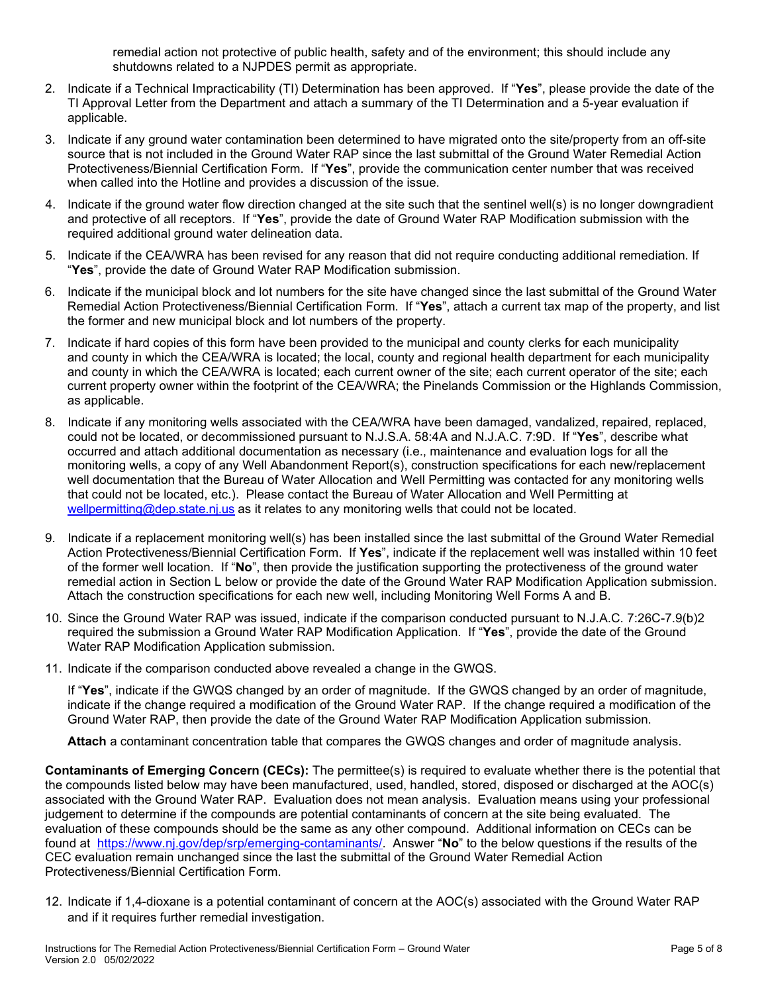remedial action not protective of public health, safety and of the environment; this should include any shutdowns related to a NJPDES permit as appropriate.

- 2. Indicate if a Technical Impracticability (TI) Determination has been approved. If "**Yes**", please provide the date of the TI Approval Letter from the Department and attach a summary of the TI Determination and a 5-year evaluation if applicable.
- 3. Indicate if any ground water contamination been determined to have migrated onto the site/property from an off-site source that is not included in the Ground Water RAP since the last submittal of the Ground Water Remedial Action Protectiveness/Biennial Certification Form. If "**Yes**", provide the communication center number that was received when called into the Hotline and provides a discussion of the issue.
- 4. Indicate if the ground water flow direction changed at the site such that the sentinel well(s) is no longer downgradient and protective of all receptors. If "**Yes**", provide the date of Ground Water RAP Modification submission with the required additional ground water delineation data.
- 5. Indicate if the CEA/WRA has been revised for any reason that did not require conducting additional remediation. If "**Yes**", provide the date of Ground Water RAP Modification submission.
- 6. Indicate if the municipal block and lot numbers for the site have changed since the last submittal of the Ground Water Remedial Action Protectiveness/Biennial Certification Form. If "**Yes**", attach a current tax map of the property, and list the former and new municipal block and lot numbers of the property.
- 7. Indicate if hard copies of this form have been provided to the municipal and county clerks for each municipality and county in which the CEA/WRA is located; the local, county and regional health department for each municipality and county in which the CEA/WRA is located; each current owner of the site; each current operator of the site; each current property owner within the footprint of the CEA/WRA; the Pinelands Commission or the Highlands Commission, as applicable.
- 8. Indicate if any monitoring wells associated with the CEA/WRA have been damaged, vandalized, repaired, replaced, could not be located, or decommissioned pursuant to N.J.S.A. 58:4A and N.J.A.C. 7:9D. If "**Yes**", describe what occurred and attach additional documentation as necessary (i.e., maintenance and evaluation logs for all the monitoring wells, a copy of any Well Abandonment Report(s), construction specifications for each new/replacement well documentation that the Bureau of Water Allocation and Well Permitting was contacted for any monitoring wells that could not be located, etc.). Please contact the Bureau of Water Allocation and Well Permitting at [wellpermitting@dep.state.nj.us](mailto:wellpermitting@dep.state.nj.us) as it relates to any monitoring wells that could not be located.
- 9. Indicate if a replacement monitoring well(s) has been installed since the last submittal of the Ground Water Remedial Action Protectiveness/Biennial Certification Form. If **Yes**", indicate if the replacement well was installed within 10 feet of the former well location. If "**No**", then provide the justification supporting the protectiveness of the ground water remedial action in Section L below or provide the date of the Ground Water RAP Modification Application submission. Attach the construction specifications for each new well, including Monitoring Well Forms A and B.
- 10. Since the Ground Water RAP was issued, indicate if the comparison conducted pursuant to N.J.A.C. 7:26C-7.9(b)2 required the submission a Ground Water RAP Modification Application. If "**Yes**", provide the date of the Ground Water RAP Modification Application submission.
- 11. Indicate if the comparison conducted above revealed a change in the GWQS.

If "**Yes**", indicate if the GWQS changed by an order of magnitude. If the GWQS changed by an order of magnitude, indicate if the change required a modification of the Ground Water RAP. If the change required a modification of the Ground Water RAP, then provide the date of the Ground Water RAP Modification Application submission.

**Attach** a contaminant concentration table that compares the GWQS changes and order of magnitude analysis.

**Contaminants of Emerging Concern (CECs):** The permittee(s) is required to evaluate whether there is the potential that the compounds listed below may have been manufactured, used, handled, stored, disposed or discharged at the AOC(s) associated with the Ground Water RAP. Evaluation does not mean analysis. Evaluation means using your professional judgement to determine if the compounds are potential contaminants of concern at the site being evaluated. The evaluation of these compounds should be the same as any other compound. Additional information on CECs can be found at [https://www.nj.gov/dep/srp/emerging-contaminants/.](https://www.nj.gov/dep/srp/emerging-contaminants/) Answer "**No**" to the below questions if the results of the CEC evaluation remain unchanged since the last the submittal of the Ground Water Remedial Action Protectiveness/Biennial Certification Form.

12. Indicate if 1,4-dioxane is a potential contaminant of concern at the AOC(s) associated with the Ground Water RAP and if it requires further remedial investigation.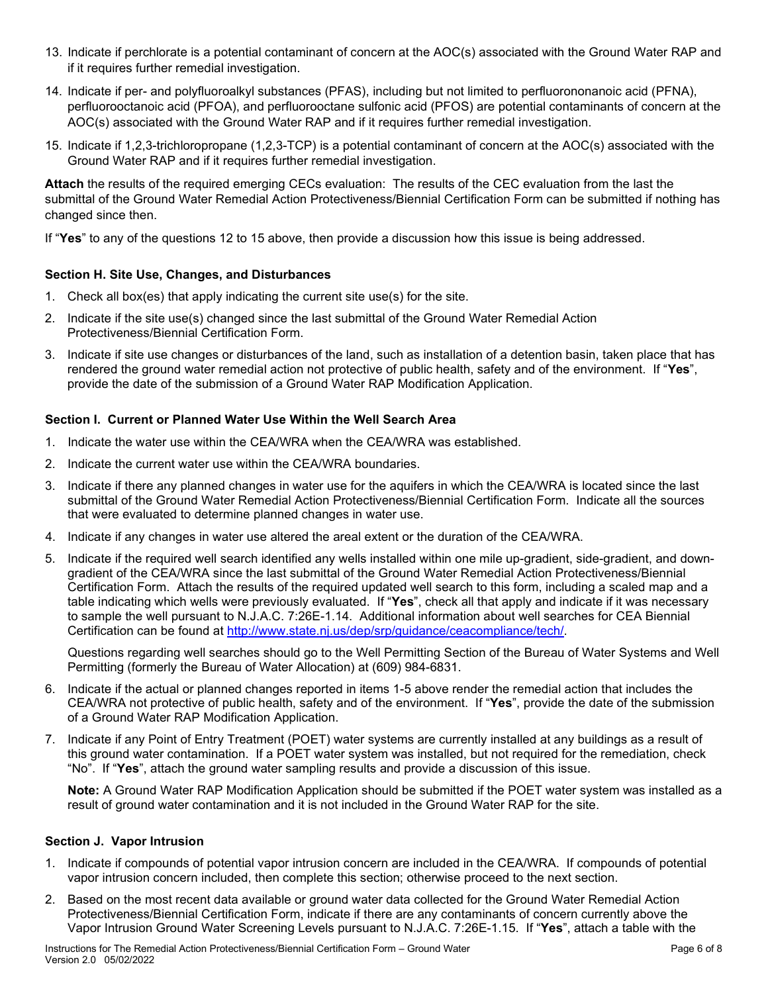- 13. Indicate if perchlorate is a potential contaminant of concern at the AOC(s) associated with the Ground Water RAP and if it requires further remedial investigation.
- 14. Indicate if per- and polyfluoroalkyl substances (PFAS), including but not limited to perfluorononanoic acid (PFNA), perfluorooctanoic acid (PFOA), and perfluorooctane sulfonic acid (PFOS) are potential contaminants of concern at the AOC(s) associated with the Ground Water RAP and if it requires further remedial investigation.
- 15. Indicate if 1,2,3-trichloropropane (1,2,3-TCP) is a potential contaminant of concern at the AOC(s) associated with the Ground Water RAP and if it requires further remedial investigation.

**Attach** the results of the required emerging CECs evaluation: The results of the CEC evaluation from the last the submittal of the Ground Water Remedial Action Protectiveness/Biennial Certification Form can be submitted if nothing has changed since then.

If "**Yes**" to any of the questions 12 to 15 above, then provide a discussion how this issue is being addressed.

# **Section H. Site Use, Changes, and Disturbances**

- 1. Check all box(es) that apply indicating the current site use(s) for the site.
- 2. Indicate if the site use(s) changed since the last submittal of the Ground Water Remedial Action Protectiveness/Biennial Certification Form.
- 3. Indicate if site use changes or disturbances of the land, such as installation of a detention basin, taken place that has rendered the ground water remedial action not protective of public health, safety and of the environment. If "**Yes**", provide the date of the submission of a Ground Water RAP Modification Application.

# **Section I. Current or Planned Water Use Within the Well Search Area**

- 1. Indicate the water use within the CEA/WRA when the CEA/WRA was established.
- 2. Indicate the current water use within the CEA/WRA boundaries.
- 3. Indicate if there any planned changes in water use for the aquifers in which the CEA/WRA is located since the last submittal of the Ground Water Remedial Action Protectiveness/Biennial Certification Form. Indicate all the sources that were evaluated to determine planned changes in water use.
- 4. Indicate if any changes in water use altered the areal extent or the duration of the CEA/WRA.
- 5. Indicate if the required well search identified any wells installed within one mile up-gradient, side-gradient, and downgradient of the CEA/WRA since the last submittal of the Ground Water Remedial Action Protectiveness/Biennial Certification Form. Attach the results of the required updated well search to this form, including a scaled map and a table indicating which wells were previously evaluated. If "**Yes**", check all that apply and indicate if it was necessary to sample the well pursuant to N.J.A.C. 7:26E-1.14. Additional information about well searches for CEA Biennial Certification can be found at [http://www.state.nj.us/dep/srp/guidance/ceacompliance/tech/.](http://www.state.nj.us/dep/srp/guidance/ceacompliance/tech/)

Questions regarding well searches should go to the Well Permitting Section of the Bureau of Water Systems and Well Permitting (formerly the Bureau of Water Allocation) at (609) 984-6831.

- 6. Indicate if the actual or planned changes reported in items 1-5 above render the remedial action that includes the CEA/WRA not protective of public health, safety and of the environment. If "**Yes**", provide the date of the submission of a Ground Water RAP Modification Application.
- 7. Indicate if any Point of Entry Treatment (POET) water systems are currently installed at any buildings as a result of this ground water contamination. If a POET water system was installed, but not required for the remediation, check "No". If "**Yes**", attach the ground water sampling results and provide a discussion of this issue.

**Note:** A Ground Water RAP Modification Application should be submitted if the POET water system was installed as a result of ground water contamination and it is not included in the Ground Water RAP for the site.

#### **Section J. Vapor Intrusion**

- 1. Indicate if compounds of potential vapor intrusion concern are included in the CEA/WRA. If compounds of potential vapor intrusion concern included, then complete this section; otherwise proceed to the next section.
- 2. Based on the most recent data available or ground water data collected for the Ground Water Remedial Action Protectiveness/Biennial Certification Form, indicate if there are any contaminants of concern currently above the Vapor Intrusion Ground Water Screening Levels pursuant to N.J.A.C. 7:26E-1.15. If "**Yes**", attach a table with the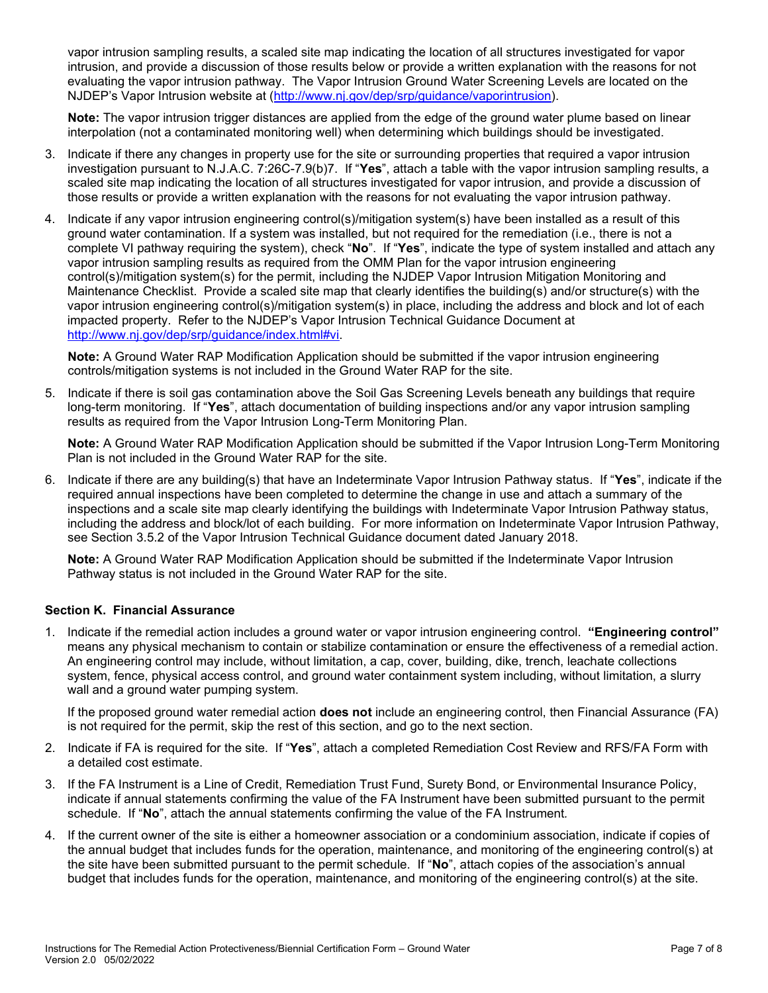vapor intrusion sampling results, a scaled site map indicating the location of all structures investigated for vapor intrusion, and provide a discussion of those results below or provide a written explanation with the reasons for not evaluating the vapor intrusion pathway. The Vapor Intrusion Ground Water Screening Levels are located on the NJDEP's Vapor Intrusion website at [\(http://www.nj.gov/dep/srp/guidance/vaporintrusion\)](http://www.nj.gov/dep/srp/guidance/vaporintrusion).

**Note:** The vapor intrusion trigger distances are applied from the edge of the ground water plume based on linear interpolation (not a contaminated monitoring well) when determining which buildings should be investigated.

- 3. Indicate if there any changes in property use for the site or surrounding properties that required a vapor intrusion investigation pursuant to N.J.A.C. 7:26C-7.9(b)7. If "**Yes**", attach a table with the vapor intrusion sampling results, a scaled site map indicating the location of all structures investigated for vapor intrusion, and provide a discussion of those results or provide a written explanation with the reasons for not evaluating the vapor intrusion pathway.
- 4. Indicate if any vapor intrusion engineering control(s)/mitigation system(s) have been installed as a result of this ground water contamination. If a system was installed, but not required for the remediation (i.e., there is not a complete VI pathway requiring the system), check "**No**". If "**Yes**", indicate the type of system installed and attach any vapor intrusion sampling results as required from the OMM Plan for the vapor intrusion engineering control(s)/mitigation system(s) for the permit, including the NJDEP Vapor Intrusion Mitigation Monitoring and Maintenance Checklist. Provide a scaled site map that clearly identifies the building(s) and/or structure(s) with the vapor intrusion engineering control(s)/mitigation system(s) in place, including the address and block and lot of each impacted property. Refer to the NJDEP's Vapor Intrusion Technical Guidance Document at [http://www.nj.gov/dep/srp/guidance/index.html#vi.](http://www.nj.gov/dep/srp/guidance/index.html#vi)

**Note:** A Ground Water RAP Modification Application should be submitted if the vapor intrusion engineering controls/mitigation systems is not included in the Ground Water RAP for the site.

5. Indicate if there is soil gas contamination above the Soil Gas Screening Levels beneath any buildings that require long-term monitoring. If "**Yes**", attach documentation of building inspections and/or any vapor intrusion sampling results as required from the Vapor Intrusion Long-Term Monitoring Plan.

**Note:** A Ground Water RAP Modification Application should be submitted if the Vapor Intrusion Long-Term Monitoring Plan is not included in the Ground Water RAP for the site.

6. Indicate if there are any building(s) that have an Indeterminate Vapor Intrusion Pathway status. If "**Yes**", indicate if the required annual inspections have been completed to determine the change in use and attach a summary of the inspections and a scale site map clearly identifying the buildings with Indeterminate Vapor Intrusion Pathway status, including the address and block/lot of each building. For more information on Indeterminate Vapor Intrusion Pathway, see Section 3.5.2 of the Vapor Intrusion Technical Guidance document dated January 2018.

**Note:** A Ground Water RAP Modification Application should be submitted if the Indeterminate Vapor Intrusion Pathway status is not included in the Ground Water RAP for the site.

# **Section K. Financial Assurance**

1. Indicate if the remedial action includes a ground water or vapor intrusion engineering control. **"Engineering control"**  means any physical mechanism to contain or stabilize contamination or ensure the effectiveness of a remedial action. An engineering control may include, without limitation, a cap, cover, building, dike, trench, leachate collections system, fence, physical access control, and ground water containment system including, without limitation, a slurry wall and a ground water pumping system.

If the proposed ground water remedial action **does not** include an engineering control, then Financial Assurance (FA) is not required for the permit, skip the rest of this section, and go to the next section.

- 2. Indicate if FA is required for the site. If "**Yes**", attach a completed Remediation Cost Review and RFS/FA Form with a detailed cost estimate.
- 3. If the FA Instrument is a Line of Credit, Remediation Trust Fund, Surety Bond, or Environmental Insurance Policy, indicate if annual statements confirming the value of the FA Instrument have been submitted pursuant to the permit schedule. If "**No**", attach the annual statements confirming the value of the FA Instrument*.*
- 4. If the current owner of the site is either a homeowner association or a condominium association, indicate if copies of the annual budget that includes funds for the operation, maintenance, and monitoring of the engineering control(s) at the site have been submitted pursuant to the permit schedule. If "**No**", attach copies of the association's annual budget that includes funds for the operation, maintenance, and monitoring of the engineering control(s) at the site.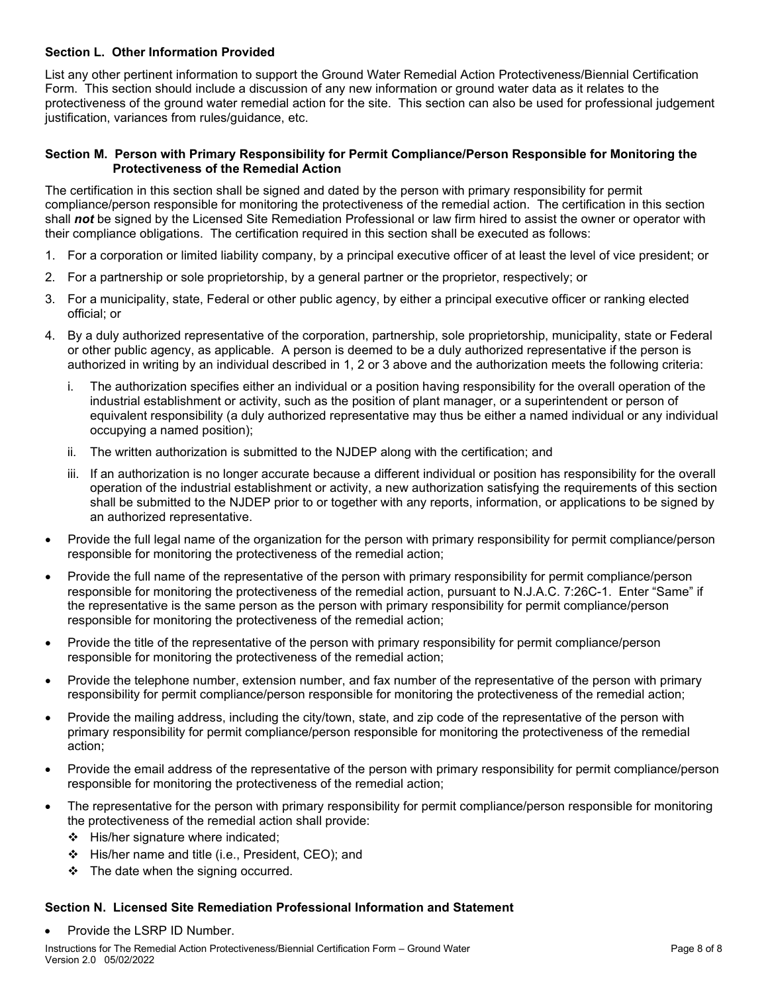# **Section L. Other Information Provided**

List any other pertinent information to support the Ground Water Remedial Action Protectiveness/Biennial Certification Form. This section should include a discussion of any new information or ground water data as it relates to the protectiveness of the ground water remedial action for the site. This section can also be used for professional judgement justification, variances from rules/guidance, etc.

#### **Section M. Person with Primary Responsibility for Permit Compliance/Person Responsible for Monitoring the Protectiveness of the Remedial Action**

The certification in this section shall be signed and dated by the person with primary responsibility for permit compliance/person responsible for monitoring the protectiveness of the remedial action. The certification in this section shall *not* be signed by the Licensed Site Remediation Professional or law firm hired to assist the owner or operator with their compliance obligations. The certification required in this section shall be executed as follows:

- 1. For a corporation or limited liability company, by a principal executive officer of at least the level of vice president; or
- 2. For a partnership or sole proprietorship, by a general partner or the proprietor, respectively; or
- 3. For a municipality, state, Federal or other public agency, by either a principal executive officer or ranking elected official; or
- 4. By a duly authorized representative of the corporation, partnership, sole proprietorship, municipality, state or Federal or other public agency, as applicable. A person is deemed to be a duly authorized representative if the person is authorized in writing by an individual described in 1, 2 or 3 above and the authorization meets the following criteria:
	- i. The authorization specifies either an individual or a position having responsibility for the overall operation of the industrial establishment or activity, such as the position of plant manager, or a superintendent or person of equivalent responsibility (a duly authorized representative may thus be either a named individual or any individual occupying a named position);
	- ii. The written authorization is submitted to the NJDEP along with the certification; and
	- iii. If an authorization is no longer accurate because a different individual or position has responsibility for the overall operation of the industrial establishment or activity, a new authorization satisfying the requirements of this section shall be submitted to the NJDEP prior to or together with any reports, information, or applications to be signed by an authorized representative.
- Provide the full legal name of the organization for the person with primary responsibility for permit compliance/person responsible for monitoring the protectiveness of the remedial action;
- Provide the full name of the representative of the person with primary responsibility for permit compliance/person responsible for monitoring the protectiveness of the remedial action, pursuant to N.J.A.C. 7:26C-1. Enter "Same" if the representative is the same person as the person with primary responsibility for permit compliance/person responsible for monitoring the protectiveness of the remedial action;
- Provide the title of the representative of the person with primary responsibility for permit compliance/person responsible for monitoring the protectiveness of the remedial action;
- Provide the telephone number, extension number, and fax number of the representative of the person with primary responsibility for permit compliance/person responsible for monitoring the protectiveness of the remedial action;
- Provide the mailing address, including the city/town, state, and zip code of the representative of the person with primary responsibility for permit compliance/person responsible for monitoring the protectiveness of the remedial action;
- Provide the email address of the representative of the person with primary responsibility for permit compliance/person responsible for monitoring the protectiveness of the remedial action;
- The representative for the person with primary responsibility for permit compliance/person responsible for monitoring the protectiveness of the remedial action shall provide:
	- $\div$  His/her signature where indicated:
	- His/her name and title (i.e., President, CEO); and
	- $\div$  The date when the signing occurred.

#### **Section N. Licensed Site Remediation Professional Information and Statement**

Provide the LSRP ID Number.